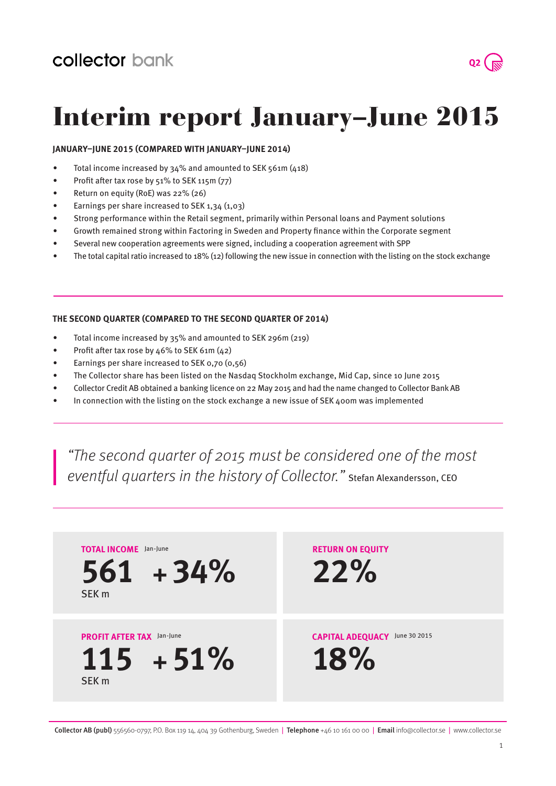

## Interim report January–June 2015

### **January–June 2015 (compared with January–June 2014)**

- Total income increased by  $34\%$  and amounted to SEK 561m (418)
- Profit after tax rose by  $51\%$  to SEK 115m (77)
- Return on equity (RoE) was 22% (26)
- Earnings per share increased to SEK  $1,34$   $(1,03)$
- Strong performance within the Retail segment, primarily within Personal loans and Payment solutions
- Growth remained strong within Factoring in Sweden and Property finance within the Corporate segment
- Several new cooperation agreements were signed, including a cooperation agreement with SPP
- The total capital ratio increased to  $18\%$  (12) following the new issue in connection with the listing on the stock exchange

#### **The second quarter (compared to the second quarter of 2014)**

- Total income increased by 35% and amounted to SEK 296m (219)
- Profit after tax rose by 46% to SEK 61m (42)
- • Earnings per share increased to SEK 0,70 (0,56)
- The Collector share has been listed on the Nasdaq Stockholm exchange, Mid Cap, since 10 June 2015
- Collector Credit AB obtained a banking licence on 22 May 2015 and had the name changed to Collector Bank AB
- In connection with the listing on the stock exchange a new issue of SEK 400m was implemented

"The second quarter of 2015 must be considered one of the most eventful quarters in the history of Collector." Stefan Alexandersson, CEO

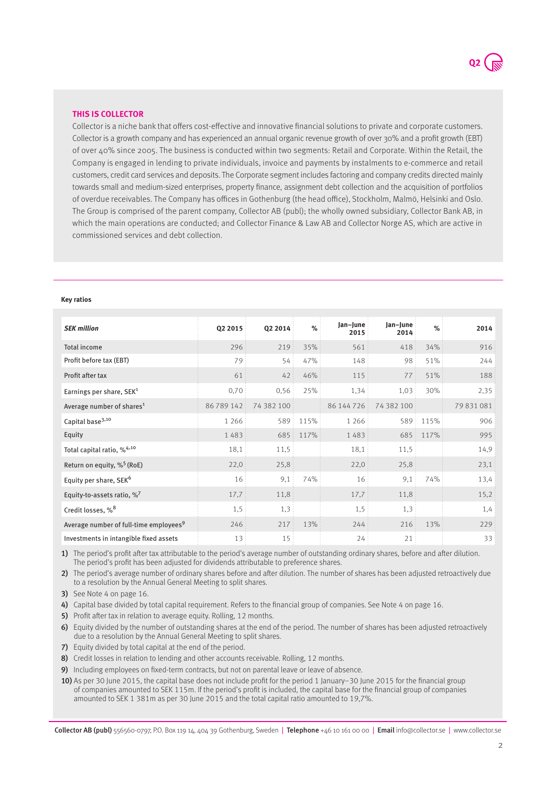

#### **this is collector**

Collector is a niche bank that offers cost-effective and innovative financial solutions to private and corporate customers. Collector is a growth company and has experienced an annual organic revenue growth of over 30% and a profit growth (EBT) of over 40% since 2005. The business is conducted within two segments: Retail and Corporate. Within the Retail, the Company is engaged in lending to private individuals, invoice and payments by instalments to e-commerce and retail customers, credit card services and deposits. The Corporate segment includes factoring and company credits directed mainly towards small and medium-sized enterprises, property finance, assignment debt collection and the acquisition of portfolios of overdue receivables. The Company has offices in Gothenburg (the head office), Stockholm, Malmö, Helsinki and Oslo. The Group is comprised of the parent company, Collector AB (publ); the wholly owned subsidiary, Collector Bank AB, in which the main operations are conducted; and Collector Finance & Law AB and Collector Norge AS, which are active in commissioned services and debt collection.

#### **Key ratios**

| <b>SEK million</b>                                 | Q2 2015         | Q2 2014    | %    | Jan-June<br>2015 | Jan-June<br>2014 | %    | 2014       |
|----------------------------------------------------|-----------------|------------|------|------------------|------------------|------|------------|
| <b>Total income</b>                                | 296             | 219        | 35%  | 561              | 418              | 34%  | 916        |
| Profit before tax (EBT)                            | 79              | 54:        | 47%  | 148              | 98               | 51%  | 244        |
| Profit after tax                                   | 61              | 42         | 46%  | 115              | 77:              | 51%  | 188        |
| Earnings per share, SEK <sup>1</sup>               | 0,70            | 0,56       | 25%  | 1,34:            | 1,03             | 30%  | 2,35       |
| Average number of shares <sup>1</sup>              | 86789142        | 74 382 100 |      | 86 144 7 26      | 74 382 100       |      | 79 831 081 |
| Capital base <sup>3,10</sup>                       | 1 2 6 6         | 589        | 115% | 1 2 6 6          | 589              | 115% | 906        |
| Equity                                             | 1483            | 685:       | 117% | 1483             | 685              | 117% | 995        |
| Total capital ratio, % <sup>4,10</sup>             | 18,1            | 11,5       |      | 18,1             | 11,5             |      | 14,9       |
| Return on equity, $\%^5$ (RoE)                     | 22,0            | 25,8       |      | 22,0             | 25,8             |      | 23,1       |
| Equity per share, SEK <sup>6</sup>                 | 16 <sup>1</sup> | 9,1        | 74%  | 16               | 9,1              | 74%  | 13,4       |
| Equity-to-assets ratio, $\%^7$                     | 17,7            | 11,8       |      | 17,7             | 11,8             |      | 15,2       |
| Credit losses, % <sup>8</sup>                      | 1,5             | 1,3        |      | 1,5              | 1,3              |      | 1,4        |
| Average number of full-time employees <sup>9</sup> | 246             | 217:       | 13%  | 244              | 216              | 13%  | 229        |
| Investments in intangible fixed assets             | 13              | 15         |      | 24               | 21               |      | 33         |

1) The period's profit after tax attributable to the period's average number of outstanding ordinary shares, before and after dilution. The period's profit has been adjusted for dividends attributable to preference shares.

2) The period's average number of ordinary shares before and after dilution. The number of shares has been adjusted retroactively due to a resolution by the Annual General Meeting to split shares.

3) See Note 4 on page 16.

4) Capital base divided by total capital requirement. Refers to the financial group of companies. See Note 4 on page 16.

5) Profit after tax in relation to average equity. Rolling, 12 months.

6) Equity divided by the number of outstanding shares at the end of the period. The number of shares has been adjusted retroactively due to a resolution by the Annual General Meeting to split shares.

7) Equity divided by total capital at the end of the period.

8) Credit losses in relation to lending and other accounts receivable. Rolling, 12 months.

9) Including employees on fixed-term contracts, but not on parental leave or leave of absence.

10) As per 30 June 2015, the capital base does not include profit for the period 1 January–30 June 2015 for the financial group of companies amounted to SEK 115m. If the period's profit is included, the capital base for the financial group of companies amounted to SEK 1 381m as per 30 June 2015 and the total capital ratio amounted to 19,7%.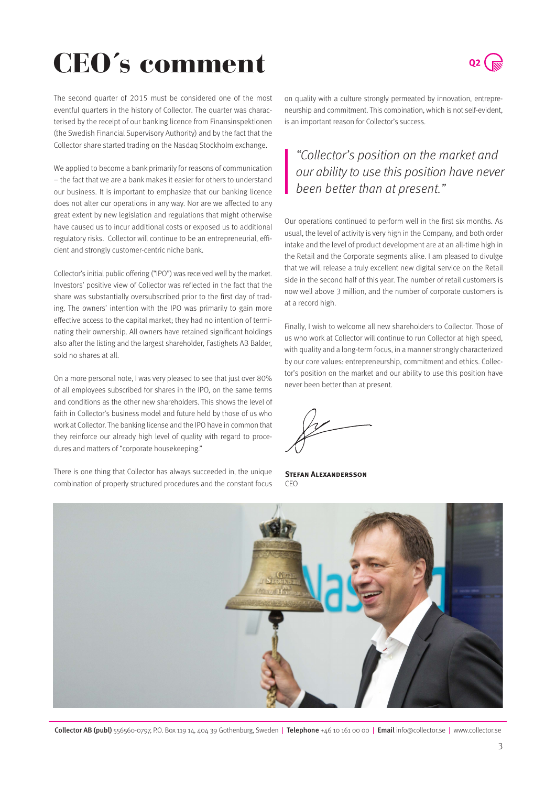# CEO´s comment



The second quarter of 2015 must be considered one of the most eventful quarters in the history of Collector. The quarter was characterised by the receipt of our banking licence from Finansinspektionen (the Swedish Financial Supervisory Authority) and by the fact that the Collector share started trading on the Nasdaq Stockholm exchange.

We applied to become a bank primarily for reasons of communication – the fact that we are a bank makes it easier for others to understand our business. It is important to emphasize that our banking licence does not alter our operations in any way. Nor are we affected to any great extent by new legislation and regulations that might otherwise have caused us to incur additional costs or exposed us to additional regulatory risks. Collector will continue to be an entrepreneurial, efficient and strongly customer-centric niche bank.

Collector's initial public offering ("IPO") was received well by the market. Investors' positive view of Collector was reflected in the fact that the share was substantially oversubscribed prior to the first day of trading. The owners' intention with the IPO was primarily to gain more effective access to the capital market; they had no intention of terminating their ownership. All owners have retained significant holdings also after the listing and the largest shareholder, Fastighets AB Balder, sold no shares at all.

On a more personal note, I was very pleased to see that just over 80% of all employees subscribed for shares in the IPO, on the same terms and conditions as the other new shareholders. This shows the level of faith in Collector's business model and future held by those of us who work at Collector. The banking license and the IPO have in common that they reinforce our already high level of quality with regard to procedures and matters of "corporate housekeeping."

There is one thing that Collector has always succeeded in, the unique combination of properly structured procedures and the constant focus on quality with a culture strongly permeated by innovation, entrepreneurship and commitment. This combination, which is not self-evident, is an important reason for Collector's success.

## "Collector's position on the market and our ability to use this position have never been better than at present."

Our operations continued to perform well in the first six months. As usual, the level of activity is very high in the Company, and both order intake and the level of product development are at an all-time high in the Retail and the Corporate segments alike. I am pleased to divulge that we will release a truly excellent new digital service on the Retail side in the second half of this year. The number of retail customers is now well above 3 million, and the number of corporate customers is at a record high.

Finally, I wish to welcome all new shareholders to Collector. Those of us who work at Collector will continue to run Collector at high speed, with quality and a long-term focus, in a manner strongly characterized by our core values: entrepreneurship, commitment and ethics. Collector's position on the market and our ability to use this position have never been better than at present.

**Stefan Alexandersson** CEO

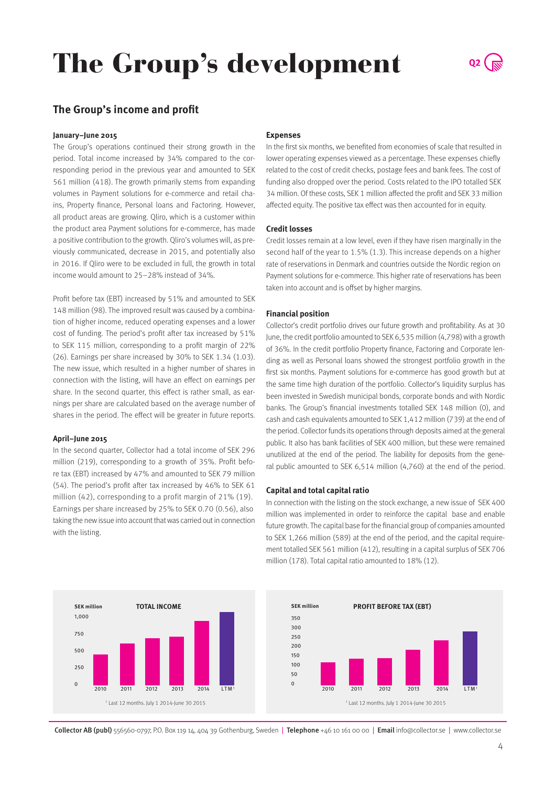# The Group's development

### **The Group's income and profit**

#### **January–June 2015**

The Group's operations continued their strong growth in the period. Total income increased by 34% compared to the corresponding period in the previous year and amounted to SEK 561 million (418). The growth primarily stems from expanding volumes in Payment solutions for e-commerce and retail chains, Property finance, Personal loans and Factoring. However, all product areas are growing. Qliro, which is a customer within the product area Payment solutions for e-commerce, has made a positive contribution to the growth. Qliro's volumes will, as previously communicated, decrease in 2015, and potentially also in 2016. If Qliro were to be excluded in full, the growth in total income would amount to 25–28% instead of 34%.

Profit before tax (EBT) increased by 51% and amounted to SEK 148 million (98). The improved result was caused by a combination of higher income, reduced operating expenses and a lower cost of funding. The period's profit after tax increased by 51% to SEK 115 million, corresponding to a profit margin of 22% (26). Earnings per share increased by 30% to SEK 1.34 (1.03). The new issue, which resulted in a higher number of shares in connection with the listing, will have an effect on earnings per share. In the second quarter, this effect is rather small, as earnings per share are calculated based on the average number of shares in the period. The effect will be greater in future reports.

#### **April–June 2015**

In the second quarter, Collector had a total income of SEK 296 million (219), corresponding to a growth of 35%. Profit before tax (EBT) increased by 47% and amounted to SEK 79 million (54). The period's profit after tax increased by 46% to SEK 61 million (42), corresponding to a profit margin of 21% (19). Earnings per share increased by 25% to SEK 0.70 (0.56), also taking the new issue into account that was carried out in connection with the listing.

#### **Expenses**

In the first six months, we benefited from economies of scale that resulted in lower operating expenses viewed as a percentage. These expenses chiefly related to the cost of credit checks, postage fees and bank fees. The cost of funding also dropped over the period. Costs related to the IPO totalled SEK 34 million. Of these costs, SEK 1 million affected the profit and SEK 33 million affected equity. The positive tax effect was then accounted for in equity.

#### **Credit losses**

Credit losses remain at a low level, even if they have risen marginally in the second half of the year to 1.5% (1.3). This increase depends on a higher rate of reservations in Denmark and countries outside the Nordic region on Payment solutions for e-commerce. This higher rate of reservations has been taken into account and is offset by higher margins.

#### **Financial position**

Collector's credit portfolio drives our future growth and profitability. As at 30 June, the credit portfolio amounted to SEK 6,535 million (4,798) with a growth of 36%. In the credit portfolio Property finance, Factoring and Corporate lending as well as Personal loans showed the strongest portfolio growth in the first six months. Payment solutions for e-commerce has good growth but at the same time high duration of the portfolio. Collector's liquidity surplus has been invested in Swedish municipal bonds, corporate bonds and with Nordic banks. The Group's financial investments totalled SEK 148 million (0), and cash and cash equivalents amounted to SEK 1,412 million (739) at the end of the period. Collector funds its operations through deposits aimed at the general public. It also has bank facilities of SEK 400 million, but these were remained unutilized at the end of the period. The liability for deposits from the general public amounted to SEK 6,514 million (4,760) at the end of the period.

#### **Capital and total capital ratio**

In connection with the listing on the stock exchange, a new issue of SEK 400 million was implemented in order to reinforce the capital base and enable future growth. The capital base for the financial group of companies amounted to SEK 1,266 million (589) at the end of the period, and the capital requirement totalled SEK 561 million (412), resulting in a capital surplus of SEK 706 million (178). Total capital ratio amounted to 18% (12).



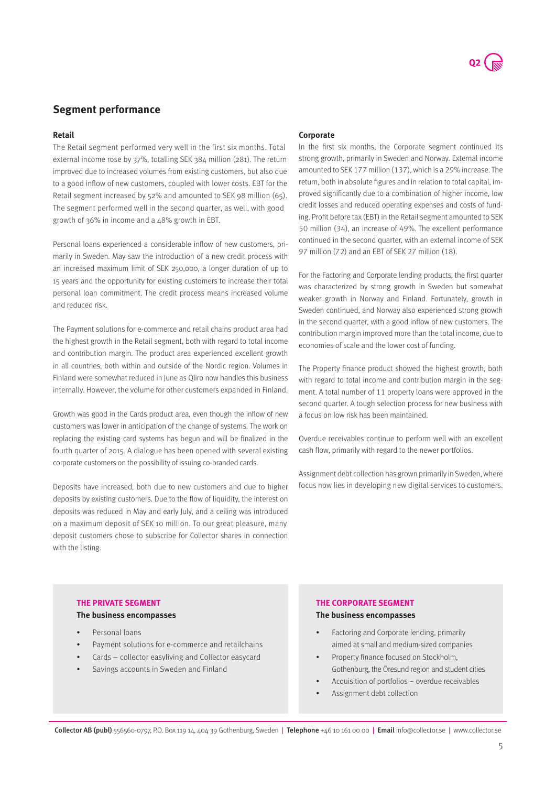### **Segment performance**

#### **Retail**

The Retail segment performed very well in the first six months. Total external income rose by 37%, totalling SEK 384 million (281). The return improved due to increased volumes from existing customers, but also due to a good inflow of new customers, coupled with lower costs. EBT for the Retail segment increased by 52% and amounted to SEK 98 million (65). The segment performed well in the second quarter, as well, with good growth of 36% in income and a 48% growth in EBT.

Personal loans experienced a considerable inflow of new customers, primarily in Sweden. May saw the introduction of a new credit process with an increased maximum limit of SEK 250,000, a longer duration of up to 15 years and the opportunity for existing customers to increase their total personal loan commitment. The credit process means increased volume and reduced risk.

The Payment solutions for e-commerce and retail chains product area had the highest growth in the Retail segment, both with regard to total income and contribution margin. The product area experienced excellent growth in all countries, both within and outside of the Nordic region. Volumes in Finland were somewhat reduced in June as Qliro now handles this business internally. However, the volume for other customers expanded in Finland.

Growth was good in the Cards product area, even though the inflow of new customers was lower in anticipation of the change of systems. The work on replacing the existing card systems has begun and will be finalized in the fourth quarter of 2015. A dialogue has been opened with several existing corporate customers on the possibility of issuing co-branded cards.

Deposits have increased, both due to new customers and due to higher deposits by existing customers. Due to the flow of liquidity, the interest on deposits was reduced in May and early July, and a ceiling was introduced on a maximum deposit of SEK 10 million. To our great pleasure, many deposit customers chose to subscribe for Collector shares in connection with the listing.

#### **Corporate**

In the first six months, the Corporate segment continued its strong growth, primarily in Sweden and Norway. External income amounted to SEK 177 million (137), which is a 29% increase. The return, both in absolute figures and in relation to total capital, improved significantly due to a combination of higher income, low credit losses and reduced operating expenses and costs of funding. Profit before tax (EBT) in the Retail segment amounted to SEK 50 million (34), an increase of 49%. The excellent performance continued in the second quarter, with an external income of SEK 97 million (72) and an EBT of SEK 27 million (18).

For the Factoring and Corporate lending products, the first quarter was characterized by strong growth in Sweden but somewhat weaker growth in Norway and Finland. Fortunately, growth in Sweden continued, and Norway also experienced strong growth in the second quarter, with a good inflow of new customers. The contribution margin improved more than the total income, due to economies of scale and the lower cost of funding.

The Property finance product showed the highest growth, both with regard to total income and contribution margin in the segment. A total number of 11 property loans were approved in the second quarter. A tough selection process for new business with a focus on low risk has been maintained.

Overdue receivables continue to perform well with an excellent cash flow, primarily with regard to the newer portfolios.

Assignment debt collection has grown primarily in Sweden, where focus now lies in developing new digital services to customers.

#### **The Private segment**

#### **The business encompasses**

- Personal loans
- Payment solutions for e-commerce and retailchains
- Cards collector easyliving and Collector easycard
- Savings accounts in Sweden and Finland

#### **The Corporate segment**

**The business encompasses**

- Factoring and Corporate lending, primarily aimed at small and medium-sized companies
- Property finance focused on Stockholm, Gothenburg, the Öresund region and student cities
- Acquisition of portfolios overdue receivables
- Assignment debt collection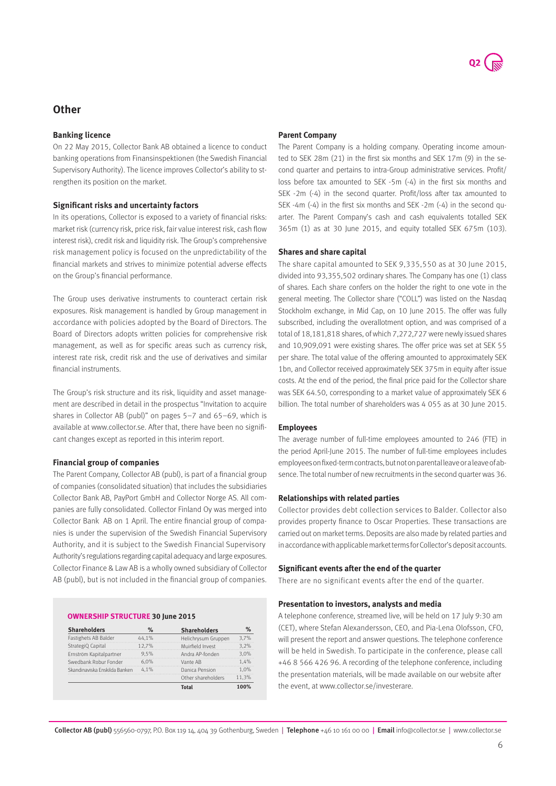### **Other**

#### **Banking licence**

On 22 May 2015, Collector Bank AB obtained a licence to conduct banking operations from Finansinspektionen (the Swedish Financial Supervisory Authority). The licence improves Collector's ability to strengthen its position on the market.

#### **Significant risks and uncertainty factors**

In its operations, Collector is exposed to a variety of financial risks: market risk (currency risk, price risk, fair value interest risk, cash flow interest risk), credit risk and liquidity risk. The Group's comprehensive risk management policy is focused on the unpredictability of the financial markets and strives to minimize potential adverse effects on the Group's financial performance.

The Group uses derivative instruments to counteract certain risk exposures. Risk management is handled by Group management in accordance with policies adopted by the Board of Directors. The Board of Directors adopts written policies for comprehensive risk management, as well as for specific areas such as currency risk, interest rate risk, credit risk and the use of derivatives and similar financial instruments.

The Group's risk structure and its risk, liquidity and asset management are described in detail in the prospectus "Invitation to acquire shares in Collector AB (publ)" on pages 5–7 and 65–69, which is available at www.collector.se. After that, there have been no significant changes except as reported in this interim report.

#### **Financial group of companies**

The Parent Company, Collector AB (publ), is part of a financial group of companies (consolidated situation) that includes the subsidiaries Collector Bank AB, PayPort GmbH and Collector Norge AS. All companies are fully consolidated. Collector Finland Oy was merged into Collector Bank AB on 1 April. The entire financial group of companies is under the supervision of the Swedish Financial Supervisory Authority, and it is subject to the Swedish Financial Supervisory Authority's regulations regarding capital adequacy and large exposures. Collector Finance & Law AB is a wholly owned subsidiary of Collector AB (publ), but is not included in the financial group of companies.

#### **Ownership structure 30 June 2015**

| <b>Shareholders</b>           | %     | <b>Shareholders</b> | $\%$  |
|-------------------------------|-------|---------------------|-------|
| Fastighets AB Balder          | 44.1% | Helichrysum Gruppen | 3.7%  |
| StrategiQ Capital             | 12.7% | Muirfield Invest    | 3.2%  |
| Ernström Kapitalpartner       | 9.5%  | Andra AP-fonden     | 3.0%  |
| Swedbank Robur Fonder         | 6.0%  | Vante AB            | 1.4%  |
| Skandinaviska Enskilda Banken | 4.1%  | Danica Pension      | 1.0%  |
|                               |       | Other shareholders  | 11.3% |
|                               |       | Total               | 100%  |

#### **Parent Company**

The Parent Company is a holding company. Operating income amounted to SEK 28m (21) in the first six months and SEK 17m (9) in the second quarter and pertains to intra-Group administrative services. Profit/ loss before tax amounted to SEK -5m (-4) in the first six months and SEK -2m (-4) in the second quarter. Profit/loss after tax amounted to SEK -4m (-4) in the first six months and SEK -2m (-4) in the second quarter. The Parent Company's cash and cash equivalents totalled SEK 365m (1) as at 30 June 2015, and equity totalled SEK 675m (103).

#### **Shares and share capital**

The share capital amounted to SEK 9,335,550 as at 30 June 2015, divided into 93,355,502 ordinary shares. The Company has one (1) class of shares. Each share confers on the holder the right to one vote in the general meeting. The Collector share ("COLL") was listed on the Nasdaq Stockholm exchange, in Mid Cap, on 10 June 2015. The offer was fully subscribed, including the overallotment option, and was comprised of a total of 18,181,818 shares, of which 7,272,727 were newly issued shares and 10,909,091 were existing shares. The offer price was set at SEK 55 per share. The total value of the offering amounted to approximately SEK 1bn, and Collector received approximately SEK 375m in equity after issue costs. At the end of the period, the final price paid for the Collector share was SEK 64.50, corresponding to a market value of approximately SEK 6 billion. The total number of shareholders was 4 055 as at 30 June 2015.

#### **Employees**

The average number of full-time employees amounted to 246 (FTE) in the period April-June 2015. The number of full-time employees includes employees on fixed-term contracts, but not on parental leave or a leave of absence. The total number of new recruitments in the second quarter was 36.

#### **Relationships with related parties**

Collector provides debt collection services to Balder. Collector also provides property finance to Oscar Properties. These transactions are carried out on market terms. Deposits are also made by related parties and in accordance with applicable market terms for Collector's deposit accounts.

#### **Significant events after the end of the quarter**

There are no significant events after the end of the quarter.

#### **Presentation to investors, analysts and media**

A telephone conference, streamed live, will be held on 17 July 9:30 am (CET), where Stefan Alexandersson, CEO, and Pia-Lena Olofsson, CFO, will present the report and answer questions. The telephone conference will be held in Swedish. To participate in the conference, please call +46 8 566 426 96. A recording of the telephone conference, including the presentation materials, will be made available on our website after the event, at www.collector.se/investerare.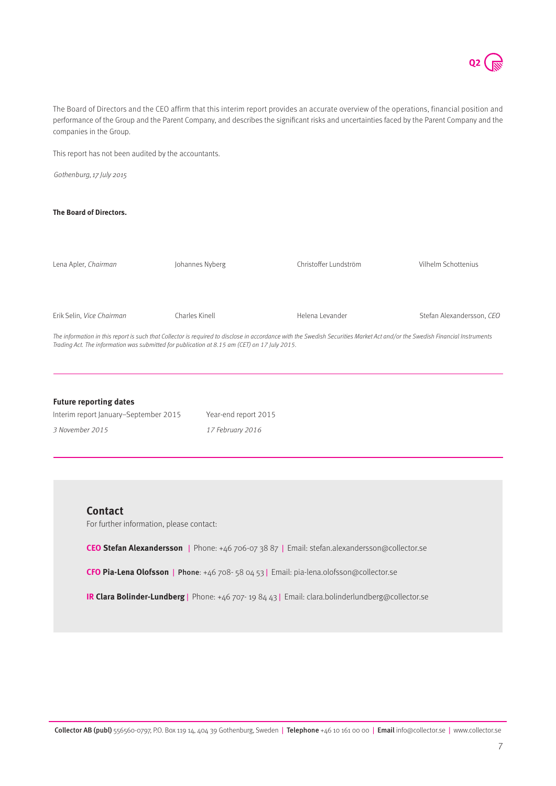$Q<sub>2</sub>$ 

The Board of Directors and the CEO affirm that this interim report provides an accurate overview of the operations, financial position and performance of the Group and the Parent Company, and describes the significant risks and uncertainties faced by the Parent Company and the companies in the Group.

This report has not been audited by the accountants.

Gothenburg, 17 July 2015

#### **The Board of Directors.**

Lena Apler, Chairman Erik Selin, Vice Chairman Johannes Nyberg Charles Kinell Christoffer Lundström Helena Levander Vilhelm Schottenius Stefan Alexandersson, CEO The information in this report is such that Collector is required to disclose in accordance with the Swedish Securities Market Act and/or the Swedish Financial Instruments Trading Act. The information was submitted for publication at 8.15 am (CET) on 17 July 2015.

#### **Future reporting dates** Interim report January–September 2015

| Interim report January-September 2015 | Year-end report 2015 |
|---------------------------------------|----------------------|
| 3 November 2015                       | 17 February 2016     |

#### **Contact**

For further information, please contact:

**CEO Stefan Alexandersson** | Phone: +46 706-07 38 87 | Email: stefan.alexandersson@collector.se

**CFO Pia-Lena Olofsson** | Phone: +46 708- 58 04 53 | Email: pia-lena.olofsson@collector.se

**IR Clara Bolinder-Lundberg** | Phone: +46 707- 19 84 43 | Email: clara.bolinderlundberg@collector.se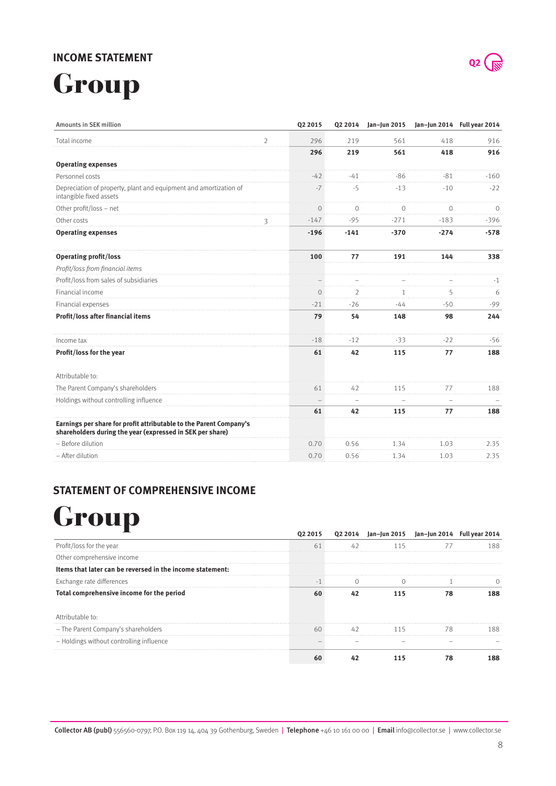## **Income statement**

## Group

| Amounts in SEK million                                                                                                          |                | Q2 2015  | Q2 2014        | Jan-Jun 2015 |                          | Jan-Jun 2014 Full year 2014 |
|---------------------------------------------------------------------------------------------------------------------------------|----------------|----------|----------------|--------------|--------------------------|-----------------------------|
| Total income                                                                                                                    | $\overline{2}$ | 296      | 219            | 561          | 418                      | 916                         |
|                                                                                                                                 |                | 296      | 219            | 561          | 418                      | 916                         |
| <b>Operating expenses</b>                                                                                                       |                |          |                |              |                          |                             |
| Personnel costs                                                                                                                 |                | $-42$    | $-41$          | $-86$        | $-81$                    | $-160$                      |
| Depreciation of property, plant and equipment and amortization of<br>intangible fixed assets                                    |                | -7       | $-5$           | $-13$        | $-10$                    | $-22$                       |
| Other profit/loss - net                                                                                                         |                | $\Omega$ | $\Omega$       | $\Omega$     | $\Omega$                 | $\Omega$                    |
| Other costs                                                                                                                     | 3              | $-147$   | $-95$          | $-271$       | $-183$                   | $-396$                      |
| <b>Operating expenses</b>                                                                                                       |                | $-196$   | $-141$         | $-370$       | $-274$                   | $-578$                      |
| <b>Operating profit/loss</b>                                                                                                    |                | 100      | 77             | 191          | 144                      | 338                         |
| Profit/loss from financial items                                                                                                |                |          |                |              |                          |                             |
| Profit/loss from sales of subsidiaries                                                                                          |                |          |                |              |                          | $-1$                        |
| Financial income                                                                                                                |                | $\Omega$ | $\overline{2}$ | 1            | 5                        | 6                           |
| Financial expenses                                                                                                              |                | $-21$    | $-26$          | $-44$        | $-50$                    | $-99$                       |
| Profit/loss after financial items                                                                                               |                | 79       | 54             | 148          | 98                       | 244                         |
| Income tax                                                                                                                      |                | $-18$    | $-12$          | $-33$        | $-22$                    | $-56$                       |
| Profit/loss for the year                                                                                                        |                | 61       | 42             | 115          | 77                       | 188                         |
| Attributable to:                                                                                                                |                |          |                |              |                          |                             |
| The Parent Company's shareholders                                                                                               |                | 61       | 42             | 115          | 77                       | 188                         |
| Holdings without controlling influence                                                                                          |                |          |                |              | $\overline{\phantom{0}}$ |                             |
|                                                                                                                                 |                | 61       | 42             | 115          | 77                       | 188                         |
| Earnings per share for profit attributable to the Parent Company's<br>shareholders during the year (expressed in SEK per share) |                |          |                |              |                          |                             |
| - Before dilution                                                                                                               |                | 0.70     | 0.56           | 1.34         | 1.03                     | 2.35                        |
| - After dilution                                                                                                                |                | 0.70     | 0.56           | 1.34         | 1.03                     | 2.35                        |

## **Statement of comprehensive income**

## **Group**

|                                                           | 2014 | Jan-Jun<br>2015 | jan–jun 2014 - Full yeai |  |
|-----------------------------------------------------------|------|-----------------|--------------------------|--|
| Profit/loss for the year                                  |      |                 |                          |  |
| Other comprehensive income                                |      |                 |                          |  |
| Items that later can be reversed in the income statement: |      |                 |                          |  |
| Exchange rate differences                                 |      |                 |                          |  |
| Total comprehensive income for the period                 |      |                 |                          |  |
| Attributable to:                                          |      |                 |                          |  |
| - The Parent Company's shareholders                       |      |                 |                          |  |
| - Holdings without controlling influence                  |      |                 |                          |  |
|                                                           |      |                 |                          |  |



8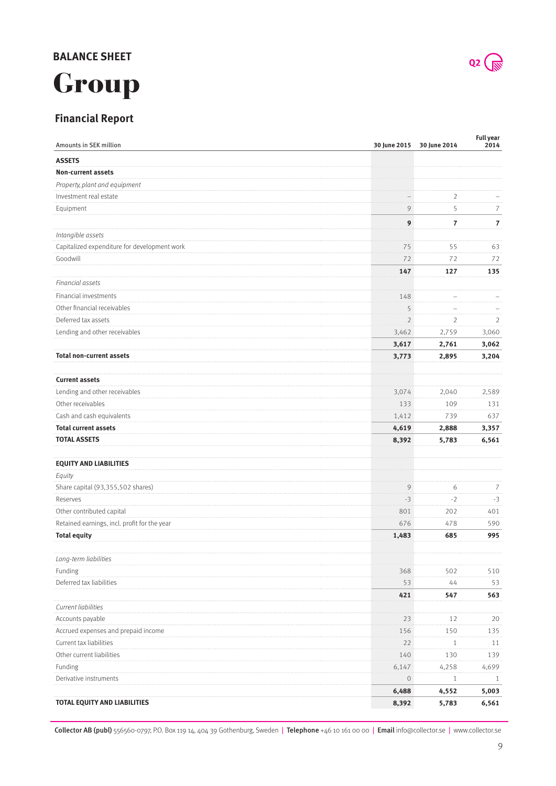## **Balance Sheet**



## **Financial Report**

| Amounts in SEK million                       |                | 30 June 2015 30 June 2014 | Full year<br>2014 |
|----------------------------------------------|----------------|---------------------------|-------------------|
| <b>ASSETS</b>                                |                |                           |                   |
| <b>Non-current assets</b>                    |                |                           |                   |
| Property, plant and equipment                |                |                           |                   |
| Investment real estate                       |                | 2                         |                   |
| Equipment                                    | 9              | 5                         | 7                 |
|                                              | 9              | $\boldsymbol{7}$          | $\overline{7}$    |
| Intangible assets                            |                |                           |                   |
| Capitalized expenditure for development work | 75             | 55                        | 63                |
| Goodwill                                     | 72             | 72                        | 72                |
|                                              | 147            | 127                       | 135               |
| Financial assets                             |                |                           |                   |
| Financial investments                        | 148            |                           |                   |
| Other financial receivables                  | 5              |                           |                   |
| Deferred tax assets                          | $\overline{2}$ | $\overline{2}$            | 2                 |
| Lending and other receivables                | 3,462          | 2,759                     | 3,060             |
|                                              | 3,617          | 2,761                     | 3,062             |
| <b>Total non-current assets</b>              | 3,773          | 2,895                     | 3,204             |
|                                              |                |                           |                   |
| <b>Current assets</b>                        |                |                           |                   |
| Lending and other receivables                | 3,074          | 2,040                     | 2,589             |
| Other receivables                            | 133            | 109                       | 131               |
| Cash and cash equivalents                    | 1,412          | 739                       | 637               |
| <b>Total current assets</b>                  | 4,619          | 2,888                     | 3,357             |
| <b>TOTAL ASSETS</b>                          | 8,392          | 5,783                     | 6,561             |
| <b>EQUITY AND LIABILITIES</b>                |                |                           |                   |
| Equity                                       |                |                           |                   |
| Share capital (93,355,502 shares)            | 9              | 6                         | 7                 |
| Reserves                                     | $-3$           | $-2$                      | $-3$              |
| Other contributed capital                    | 801            | 202                       | 401               |
| Retained earnings, incl. profit for the year | 676            | 478                       | 590               |
| <b>Total equity</b>                          | 1,483          | 685                       | 995               |
| Long-term liabilities                        |                |                           |                   |
| Funding                                      | 368            | 502                       | 510               |
| Deferred tax liabilities                     | 53             | 44                        | 53                |
|                                              | 421            | 547                       | 563               |
| Current liabilities                          |                |                           |                   |
| Accounts payable                             | 23             | 12                        | 20                |
| Accrued expenses and prepaid income          | 156            | 150                       | 135               |
| Current tax liabilities                      | 22             | $\mathbf{1}$              | 11                |
| Other current liabilities                    | 140            | 130                       | 139               |
| Funding                                      | 6,147          | 4,258                     | 4,699             |
| Derivative instruments                       | 0              | 1                         | 1                 |
|                                              | 6,488          | 4,552                     | 5,003             |
| <b>TOTAL EQUITY AND LIABILITIES</b>          | 8,392          | 5,783                     | 6,561             |

 $Q2$   $\sqrt{N}$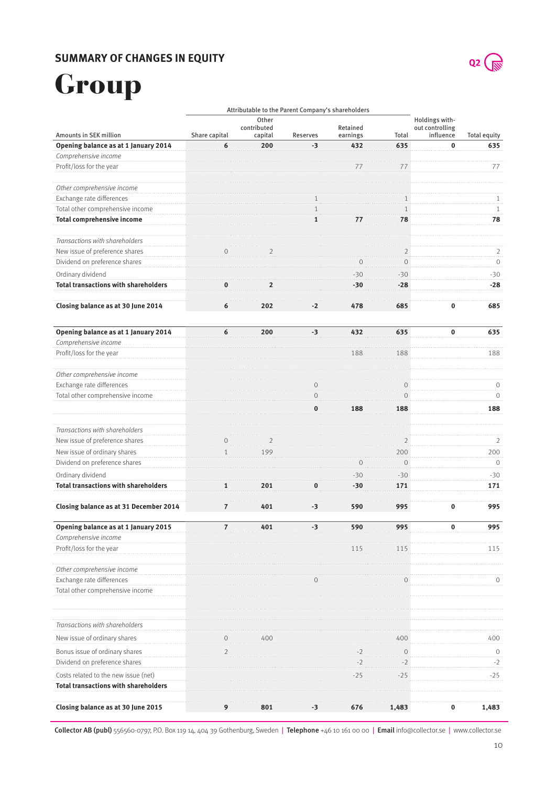## **Summary of changes in equity**



## Group

|                                                                  |                |                                 |          | Attributable to the Parent Company's shareholders |                       |                                                |                           |
|------------------------------------------------------------------|----------------|---------------------------------|----------|---------------------------------------------------|-----------------------|------------------------------------------------|---------------------------|
| Amounts in SEK million                                           | Share capital  | Other<br>contributed<br>capital | Reserves | Retained<br>earnings                              | Total                 | Holdings with-<br>out controlling<br>influence | Total equity              |
| Opening balance as at 1 January 2014                             | 6              | 200                             | $-3$     | 432                                               | 635                   | $\bf{0}$                                       | 635                       |
| Comprehensive income                                             |                |                                 |          |                                                   |                       |                                                |                           |
| Profit/loss for the year                                         |                |                                 |          |                                                   |                       |                                                | 77                        |
| Other comprehensive income                                       |                |                                 |          |                                                   |                       |                                                |                           |
| Exchange rate differences                                        |                |                                 |          |                                                   |                       |                                                | 1                         |
| Total other comprehensive income                                 |                |                                 |          |                                                   | 1                     |                                                | $\mathbf{1}$              |
| <b>Total comprehensive income</b>                                |                |                                 | 1        | $\prime\prime$                                    | 78                    |                                                | 78                        |
| Transactions with shareholders                                   |                |                                 |          |                                                   |                       |                                                |                           |
| New issue of preference shares<br>Dividend on preference shares  |                |                                 |          |                                                   | 2<br>$\Omega$         |                                                | $\overline{2}$<br>$\circ$ |
|                                                                  |                |                                 |          |                                                   |                       |                                                |                           |
| Ordinary dividend<br><b>Total transactions with shareholders</b> |                |                                 |          | -30<br>-30                                        | $-30$<br>$-28$        |                                                | $-30$<br>$-28$            |
|                                                                  |                |                                 |          |                                                   |                       |                                                |                           |
| Closing balance as at 30 June 2014                               | 6              | 202                             | -2       | 478                                               | 685                   | $\bf{0}$                                       | 685                       |
| Opening balance as at 1 January 2014                             | 6              | 200                             | $-3$     | 432                                               | 635                   | $\bf{0}$                                       | 635                       |
| Comprehensive income                                             |                |                                 |          |                                                   |                       |                                                |                           |
| Profit/loss for the year                                         |                |                                 |          | 188                                               | 188                   |                                                | 188                       |
| Other comprehensive income                                       |                |                                 |          |                                                   |                       |                                                |                           |
| Exchange rate differences                                        |                |                                 |          |                                                   | $\left($              |                                                | 0                         |
| Total other comprehensive income                                 |                |                                 |          | 188                                               | $\Omega$<br>188       |                                                | $\circ$<br>188            |
|                                                                  |                |                                 |          |                                                   |                       |                                                |                           |
| Transactions with shareholders                                   |                |                                 |          |                                                   |                       |                                                |                           |
| New issue of preference shares                                   |                |                                 |          |                                                   | 2                     |                                                | 2                         |
| New issue of ordinary shares<br>Dividend on preference shares    |                | 199                             |          |                                                   | 200<br>$\overline{0}$ |                                                | 200<br>$\mathbf{0}$       |
| Ordinary dividend                                                |                |                                 |          | $-30$                                             | $-30$                 |                                                | $-30$                     |
| <b>Total transactions with shareholders</b>                      |                | 201                             |          | $-30$                                             | 171                   |                                                | 171                       |
| Closing balance as at 31 December 2014                           |                | 401                             |          | 590                                               | 995                   | 0                                              | 995                       |
|                                                                  | 7              |                                 | -3       |                                                   |                       |                                                |                           |
| Opening balance as at 1 January 2015<br>Comprehensive income     | $\overline{z}$ | 401                             | $-3$     | 590                                               | 995                   | $\sim$                                         | 995                       |
| Profit/loss for the year                                         |                |                                 |          | 115                                               | 115                   |                                                | 115                       |
| Other comprehensive income                                       |                |                                 |          |                                                   |                       |                                                |                           |
| Exchange rate differences                                        |                |                                 |          |                                                   |                       |                                                | 0                         |
| Total other comprehensive income                                 |                |                                 |          |                                                   |                       |                                                |                           |
|                                                                  |                |                                 |          |                                                   |                       |                                                |                           |
| Transactions with shareholders                                   |                |                                 |          |                                                   |                       |                                                |                           |
| New issue of ordinary shares                                     |                | 400                             |          |                                                   | 400                   |                                                | 400                       |
| Bonus issue of ordinary shares<br>Dividend on preference shares  | $\overline{2}$ |                                 |          | $-2$                                              | $\mathbf 0$<br>$-2$   |                                                | 0<br>$-2$                 |
| Costs related to the new issue (net)                             |                |                                 |          | $-25$                                             | $-25$                 |                                                | $-25$                     |
| <b>Total transactions with shareholders</b>                      |                |                                 |          |                                                   |                       |                                                |                           |
| Closing balance as at 30 June 2015                               | 9              | 801                             | -3       | 676                                               | 1,483                 | 0                                              | 1,483                     |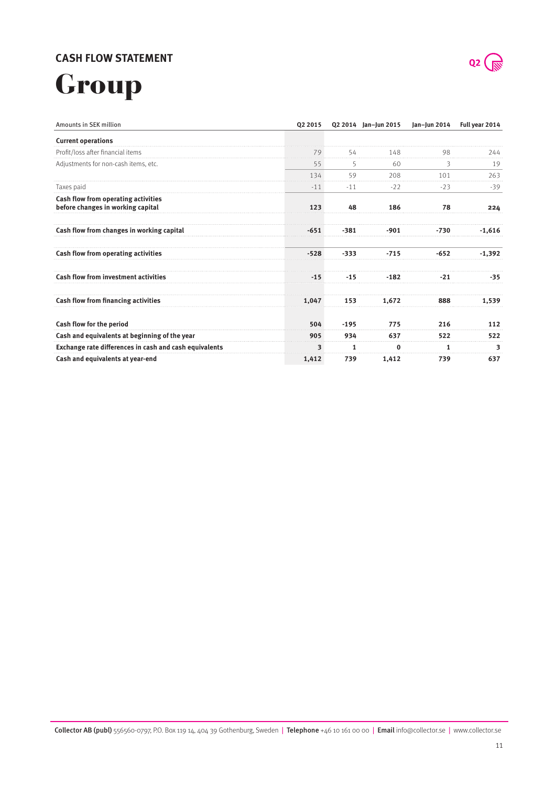## **Cash flow statement**



# Group

| Amounts in SEK million                                                   | Q2 2015 |        | Q2 2014 Jan-Jun 2015 | Jan-Jun 2014 | Full year 2014 |
|--------------------------------------------------------------------------|---------|--------|----------------------|--------------|----------------|
| <b>Current operations</b>                                                |         |        |                      |              |                |
| Profit/loss after financial items                                        | 79      | 54     | 148                  | 98           | 244            |
| Adjustments for non-cash items, etc.                                     | 55      | 5      | 60                   | 3            | 19             |
|                                                                          | 134     | 59     | 208                  | 101          | 263            |
| Taxes paid                                                               | $-11$   | $-11$  | $-22$                | $-23$        | $-39$          |
| Cash flow from operating activities<br>before changes in working capital | 123     | 48     | 186                  | 78           | 224            |
| Cash flow from changes in working capital                                | $-651$  | $-381$ | -901                 | -730         | $-1,616$       |
| Cash flow from operating activities                                      | $-528$  | $-333$ | $-715$               | $-652$       | $-1,392$       |
| <b>Cash flow from investment activities</b>                              | $-15$   | $-15$  | $-182$               | $-21$        | -35            |
| Cash flow from financing activities                                      | 1,047   | 153    | 1,672                | 888          | 1,539          |
| Cash flow for the period                                                 | 504     | $-195$ | 775                  | 216          | 112            |
| Cash and equivalents at beginning of the year                            | 905     | 934    | 637                  | 522          | 522            |
| Exchange rate differences in cash and cash equivalents                   | 3       | 1      | 0                    |              | 3              |
| Cash and equivalents at year-end                                         | 1,412   | 739    | 1,412                | 739          | 637            |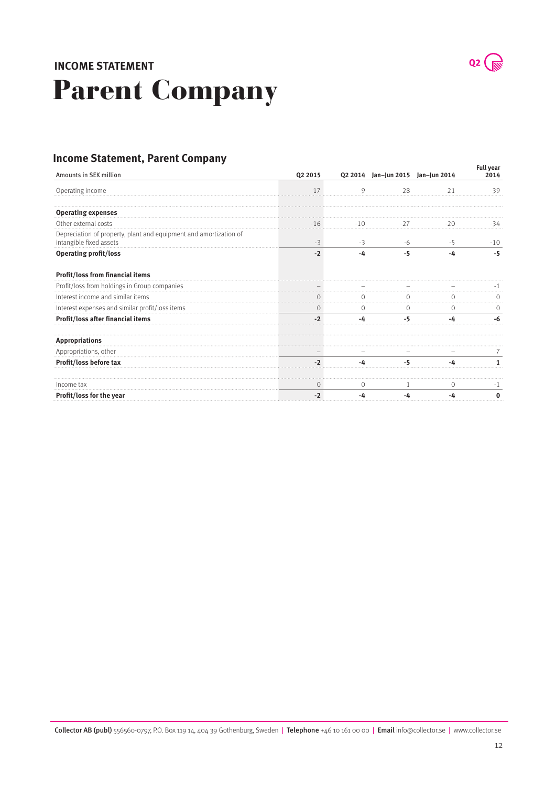## Parent Company **Income statement**



## **Income Statement, Parent Company**

| , <b></b><br>p~ <i>y</i><br>Amounts in SEK million                                           | Q2 2015 |         | Q2 2014 Jan-Jun 2015 Jan-Jun 2014 |      | <b>Full year</b><br>2014 |
|----------------------------------------------------------------------------------------------|---------|---------|-----------------------------------|------|--------------------------|
| Operating income                                                                             | 17      | 9       | 28                                | 21   | 39                       |
| <b>Operating expenses</b>                                                                    |         |         |                                   |      |                          |
| Other external costs                                                                         | -16     |         | -27                               |      | -34                      |
| Depreciation of property, plant and equipment and amortization of<br>intangible fixed assets | $-3$    | $-3$    | -6                                | $-5$ | $-10$                    |
| <b>Operating profit/loss</b>                                                                 | $-2$    | -4      | $-5$                              | -4   | $-5$                     |
| Profit/loss from financial items                                                             |         |         |                                   |      |                          |
| Profit/loss from holdings in Group companies                                                 |         |         |                                   |      |                          |
| Interest income and similar items                                                            | 0       | 0       |                                   | 0    |                          |
| Interest expenses and similar profit/loss items                                              | $\circ$ | $\circ$ | 0                                 | 0    | 0                        |
| Profit/loss after financial items                                                            |         | -4      | -5                                | -4   |                          |
| <b>Appropriations</b>                                                                        |         |         |                                   |      |                          |
| Appropriations, other                                                                        |         |         |                                   |      |                          |
| Profit/loss before tax                                                                       | - 2     | -4      | -5                                | -4   |                          |
| Income tax                                                                                   | 0       | 0       | 1                                 | 0    | -1                       |
| Profit/loss for the year                                                                     | $-2$    | -4      | -4                                | -4   |                          |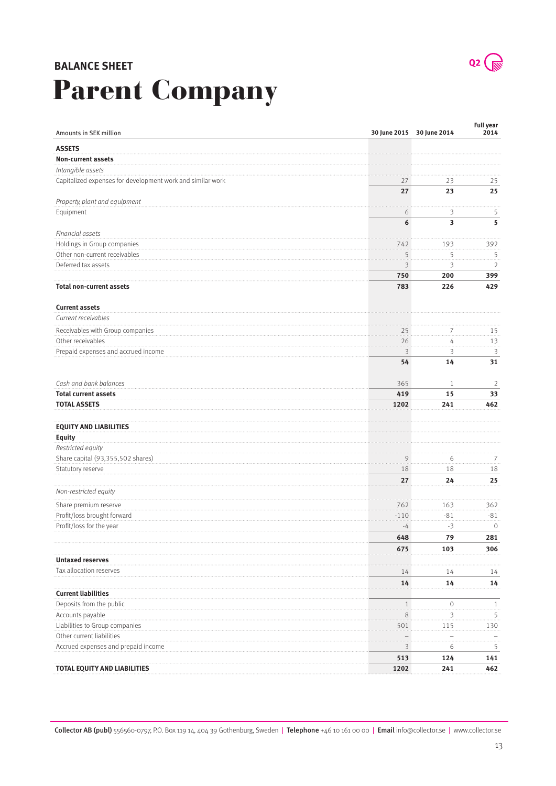## Parent Company **Balance Sheet**

| Amounts in SEK million                                     |             | 30 June 2015 30 June 2014 | Full year<br>2014 |
|------------------------------------------------------------|-------------|---------------------------|-------------------|
|                                                            |             |                           |                   |
| <b>ASSETS</b><br><b>Non-current assets</b>                 |             |                           |                   |
| Intangible assets                                          |             |                           |                   |
| Capitalized expenses for development work and similar work |             | 23                        |                   |
|                                                            | 27<br>27    | 23                        | 25<br>25          |
| Property, plant and equipment                              |             |                           |                   |
| Equipment                                                  | 6           | 3                         | 5                 |
|                                                            | 6           | 3                         | 5                 |
| Financial assets                                           |             |                           |                   |
| Holdings in Group companies                                | 742         | 193                       | 392               |
| Other non-current receivables                              | 5           | 5                         | 5                 |
| Deferred tax assets                                        | 3           | 3                         | 2                 |
|                                                            | 750         | 200                       | 399               |
| <b>Total non-current assets</b>                            | 783         | 226                       | 429               |
|                                                            |             |                           |                   |
| <b>Current assets</b>                                      |             |                           |                   |
| Current receivables                                        |             |                           |                   |
| Receivables with Group companies                           | 25          | 7                         | 15                |
| Other receivables                                          | 26          | $\sqrt{4}$                | 13                |
| Prepaid expenses and accrued income                        | 3           | 3                         | 3                 |
|                                                            | 54          | 14                        | 31                |
| Cash and bank balances                                     | 365         | $\mathbf{1}$              | $\overline{2}$    |
| <b>Total current assets</b>                                | 419         | 15                        | 33                |
| <b>TOTAL ASSETS</b>                                        | 1202        | 241                       | 462               |
|                                                            |             |                           |                   |
| <b>EQUITY AND LIABILITIES</b>                              |             |                           |                   |
| Equity                                                     |             |                           |                   |
| Restricted equity                                          |             |                           |                   |
| Share capital (93,355,502 shares)                          | 9           | 6                         | 7                 |
| Statutory reserve                                          | 18          | 18                        | 18                |
|                                                            | 27          | 24                        | 25                |
| Non-restricted equity                                      |             |                           |                   |
| Share premium reserve                                      | 762         | 163                       | 362               |
| Profit/loss brought forward                                | $-110$      | $-81$                     | $-81$             |
| Profit/loss for the year                                   | -4          | $-3$                      | $\circ$           |
|                                                            | 648         | 79                        | 281               |
|                                                            | 675         | 103                       | 306               |
| <b>Untaxed reserves</b>                                    |             |                           |                   |
| Tax allocation reserves                                    | 14          | 14                        | 14                |
|                                                            | 14          | 14                        | 14                |
| <b>Current liabilities</b>                                 |             |                           |                   |
| Deposits from the public                                   | $\mathbf 1$ | $\circ$                   | 1                 |
| Accounts payable                                           | 8           | 3                         | 5                 |
| Liabilities to Group companies                             | 501         | 115                       | 130               |
| Other current liabilities                                  |             |                           |                   |
| Accrued expenses and prepaid income                        | 3           | 6                         | 5                 |
|                                                            | 513         | 124                       | 141               |
| TOTAL EQUITY AND LIABILITIES                               | 1202        | 241                       | 462               |
|                                                            |             |                           |                   |

Collector AB (publ) 556560-0797, P.O. Box 119 14, 404 39 Gothenburg, Sweden | Telephone +46 10 161 00 00 | Email info@collector.se | www.collector.se

 $Q2$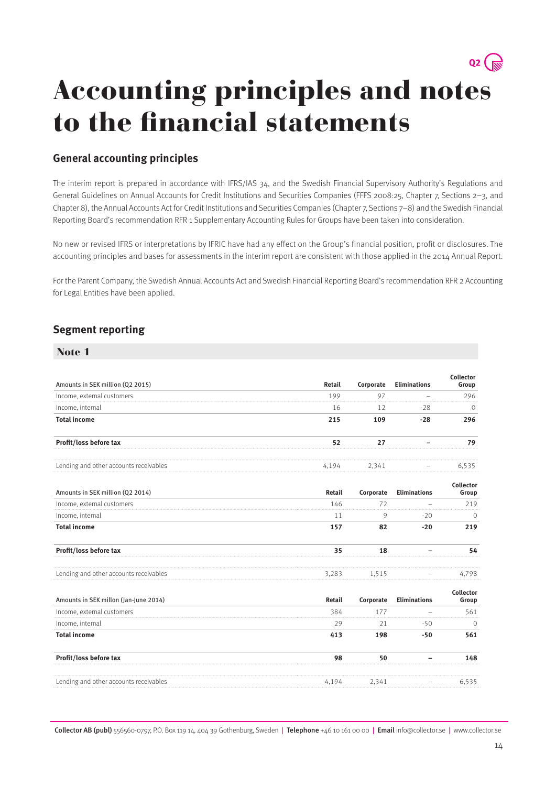## $Q2$   $\left(\frac{1}{N^2}\right)$ Accounting principles and notes to the financial statements

## **General accounting principles**

The interim report is prepared in accordance with IFRS/IAS 34, and the Swedish Financial Supervisory Authority's Regulations and General Guidelines on Annual Accounts for Credit Institutions and Securities Companies (FFFS 2008:25, Chapter 7, Sections 2–3, and Chapter 8), the Annual Accounts Act for Credit Institutions and Securities Companies (Chapter 7, Sections 7–8) and the Swedish Financial Reporting Board's recommendation RFR 1 Supplementary Accounting Rules for Groups have been taken into consideration.

No new or revised IFRS or interpretations by IFRIC have had any effect on the Group's financial position, profit or disclosures. The accounting principles and bases for assessments in the interim report are consistent with those applied in the 2014 Annual Report.

For the Parent Company, the Swedish Annual Accounts Act and Swedish Financial Reporting Board's recommendation RFR 2 Accounting for Legal Entities have been applied.

## **Segment reporting**

| Note 1                                 |        |           |                     |                           |
|----------------------------------------|--------|-----------|---------------------|---------------------------|
| Amounts in SEK million (Q2 2015)       | Retail | Corporate | <b>Eliminations</b> | <b>Collector</b><br>Group |
| Income, external customers             | 199    | 97        |                     | 296                       |
| Income, internal                       | 16     | 12        | $-28$               | $\circ$                   |
| <b>Total income</b>                    | 215    | 109       | $-28$               | 296                       |
| Profit/loss before tax                 | 52     | 27        |                     | 79                        |
| Lending and other accounts receivables | 4,194  | 2,341     |                     | 6,535                     |
| Amounts in SEK million (Q2 2014)       | Retail | Corporate | <b>Eliminations</b> | Collector<br>Group        |
| Income, external customers             | 146    | 72        |                     | 219                       |
| Income, internal                       | 11     | 9         | $-20$               | 0                         |
| <b>Total income</b>                    | 157    | 82        | $-20$               | 219                       |
| Profit/loss before tax                 | 35     | 18        |                     | 54                        |
| Lending and other accounts receivables | 3,283  | 1,515     |                     | 4,798                     |
| Amounts in SEK millon (Jan-June 2014)  | Retail | Corporate | <b>Eliminations</b> | Collector<br>Group        |
| Income, external customers             | 384    | 177       |                     | 561                       |
| Income, internal                       | 29     | 21        | -50                 | $\circ$                   |
| <b>Total income</b>                    | 413    | 198       | $-50$               | 561                       |
| Profit/loss before tax                 | 98     | 50        |                     | 148                       |
| Lending and other accounts receivables | 4,194  | 2,341     |                     | 6,535                     |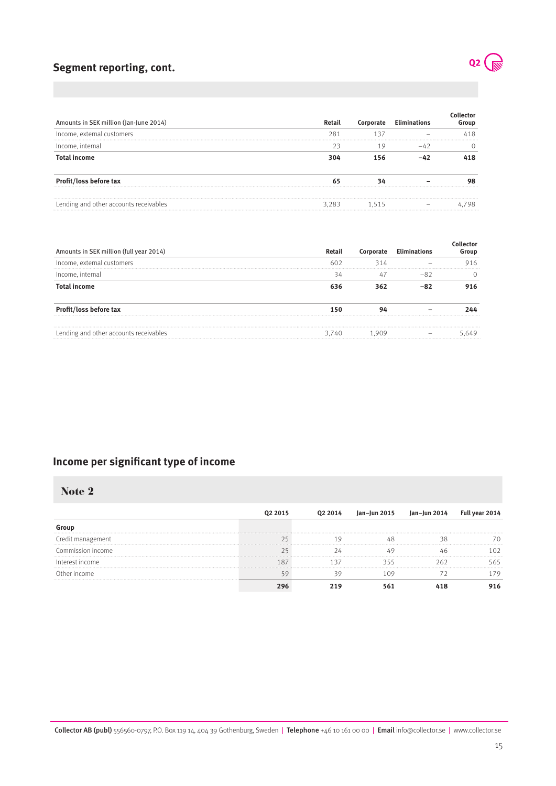## **Segment reporting, cont.**

| Amounts in SEK million (Jan-June 2014) | Retail |  | Group |
|----------------------------------------|--------|--|-------|
| Income, external customers             | P.     |  |       |
| Income, internal                       |        |  |       |
| <b>Total income</b>                    |        |  |       |
| <b>Profit/loss before tax</b>          |        |  |       |
| Lending and other accounts receivables | 283    |  |       |

| Amounts in SEK million (full year 2014) | Retail |  | roup |
|-----------------------------------------|--------|--|------|
| Income, external customers              |        |  |      |
| Income, internal                        |        |  |      |
| Total income                            |        |  |      |
| Profit/loss before tax                  |        |  |      |
| Lending and other accounts receivables  | 3.740  |  |      |

## **Income per significant type of income**

### Note 2

| Commission income |  |  |  |
|-------------------|--|--|--|
| Interest income   |  |  |  |
| Income            |  |  |  |
|                   |  |  |  |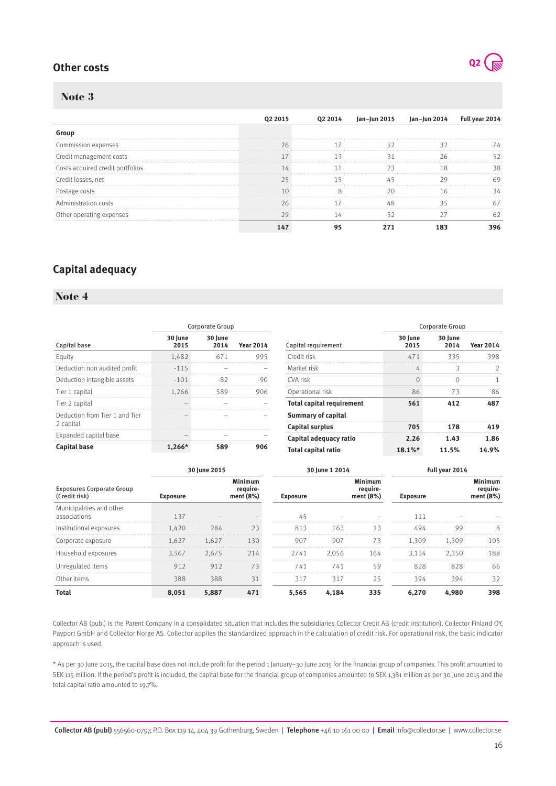## **Other costs**



**2014 Year 2014**

### Note 3

|                                  |  | lan- | Jan-Jun 2014 | Full yea |
|----------------------------------|--|------|--------------|----------|
|                                  |  |      |              |          |
| Commission expenses              |  |      |              |          |
|                                  |  |      |              |          |
| Costs acquired credit portfolios |  |      |              |          |
|                                  |  |      |              |          |
| <sup>D</sup> ostage costs        |  |      |              |          |
|                                  |  |      |              |          |
| Other operating expenses         |  |      |              |          |
|                                  |  |      |              |          |

## **Capital adequacy**

### Note 4

|                                |                 | Corporate Group |                          |                                  | Corporate Group |                 |                  |  |
|--------------------------------|-----------------|-----------------|--------------------------|----------------------------------|-----------------|-----------------|------------------|--|
| Capital base                   | 30 June<br>2015 | 30 June<br>2014 | <b>Year 2014</b>         | Capital requirement              | 30 June<br>2015 | 30 June<br>2014 | <b>Year 2014</b> |  |
| Eauitv                         | 1.482           | 67              | 995                      | Credit risk                      | 471             | 335             | 398              |  |
| Deduction non audited profit   | $-115$          |                 |                          | Market risk                      | 4               |                 |                  |  |
| Deduction intangible assets    | $-101$          | -82             | -90                      | CVA risk                         | 0               |                 |                  |  |
| Tier 1 capital                 | 1.266           | 589             | 906                      | Operational risk                 | 86              | 73              | 86               |  |
| Tier 2 capital                 |                 |                 |                          | <b>Total capital requirement</b> | 561             | 412             | 487              |  |
| Deduction from Tier 1 and Tier |                 |                 | $\overline{\phantom{0}}$ | <b>Summary of capital</b>        |                 |                 |                  |  |
| 2 capital                      |                 |                 |                          | <b>Capital surplus</b>           | 705             | 178             | 41 G             |  |
| Expanded capital base          |                 |                 |                          | Capital adequacy ratio           | 2.26            | 1.43            | 1.86             |  |
| <b>Capital base</b>            | .266'           | 589             | 906                      | <b>Total capital ratio</b>       | 18.1%*          | 11.5%           | 14.9%            |  |

|                                                   |                 | 30 June 2015 |                                    |                 | 30 June 1 2014 |                                  |                 | Full year 2014 |                                    |  |
|---------------------------------------------------|-----------------|--------------|------------------------------------|-----------------|----------------|----------------------------------|-----------------|----------------|------------------------------------|--|
| <b>Exposures Corporate Group</b><br>(Credit risk) | <b>Exposure</b> |              | Minimum<br>require-<br>ment $(8%)$ | <b>Exposure</b> |                | Minimum<br>require-<br>ment (8%) | <b>Exposure</b> |                | Minimum<br>require-<br>ment $(8%)$ |  |
| Municipalities and other<br>associations          | 137             |              |                                    |                 |                |                                  |                 |                |                                    |  |
| Institutional exposures                           | 1.420           | 284          | 73                                 | 813             | 163            | 13                               | 494             | 99             |                                    |  |
| Corporate exposure                                | 1.627           | 1.627        | 130                                | 907             | 907            | 73                               | 1.309           | 1.309          | 105                                |  |
| Household exposures                               | 3.567           | 2.675        |                                    | 2741            | 2.056          | 164                              | 3.134           | 2.350          | 188                                |  |
| Unregulated items                                 |                 | 912          | 73                                 | 741             | 741            | 59                               | 828             | 828            | 66                                 |  |
| Other items                                       | 388             | 388          | 31                                 | 317             | 317            | 25                               | 394             | 394            | 32                                 |  |
|                                                   | 8.051           | 5.887        |                                    | 5.565           |                | 335                              | 6.270           | .980           |                                    |  |

Collector AB (publ) is the Parent Company in a consolidated situation that includes the subsidiaries Collector Credit AB (credit institution), Collector Finland OY, Payport GmbH and Collector Norge AS. Collector applies the standardized approach in the calculation of credit risk. For operational risk, the basic indicator approach is used.

\* As per 30 June 2015, the capital base does not include profit for the period 1 January–30 June 2015 for the financial group of companies. This profit amounted to SEK 115 million. If the period's profit is included, the capital base for the financial group of companies amounted to SEK 1,381 million as per 30 June 2015 and the total capital ratio amounted to 19.7%.